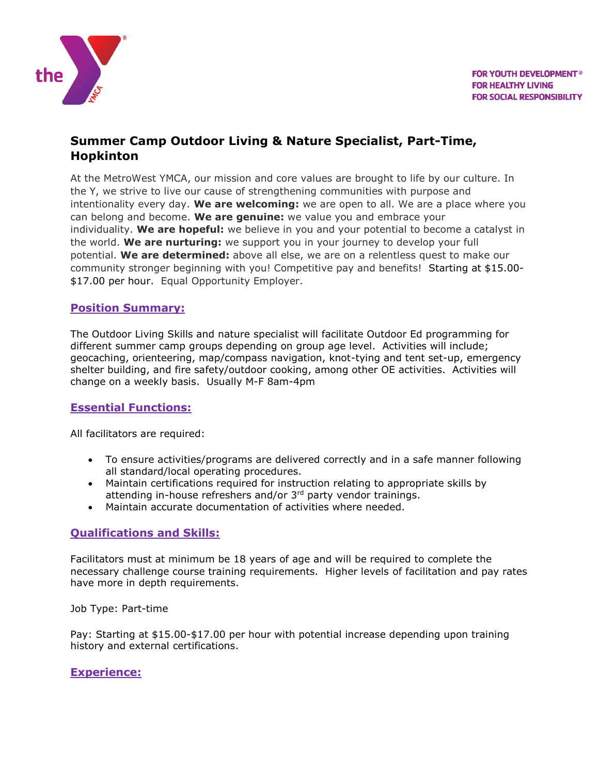

# **Summer Camp Outdoor Living & Nature Specialist, Part-Time, Hopkinton**

At the MetroWest YMCA, our mission and core values are brought to life by our culture. In the Y, we strive to live our cause of strengthening communities with purpose and intentionality every day. **We are welcoming:** we are open to all. We are a place where you can belong and become. **We are genuine:** we value you and embrace your individuality. **We are hopeful:** we believe in you and your potential to become a catalyst in the world. **We are nurturing:** we support you in your journey to develop your full potential. **We are determined:** above all else, we are on a relentless quest to make our community stronger beginning with you! Competitive pay and benefits! Starting at \$15.00- \$17.00 per hour. Equal Opportunity Employer.

### **Position Summary:**

The Outdoor Living Skills and nature specialist will facilitate Outdoor Ed programming for different summer camp groups depending on group age level. Activities will include; geocaching, orienteering, map/compass navigation, knot-tying and tent set-up, emergency shelter building, and fire safety/outdoor cooking, among other OE activities. Activities will change on a weekly basis. Usually M-F 8am-4pm

## **Essential Functions:**

All facilitators are required:

- To ensure activities/programs are delivered correctly and in a safe manner following all standard/local operating procedures.
- Maintain certifications required for instruction relating to appropriate skills by attending in-house refreshers and/or 3<sup>rd</sup> party vendor trainings.
- Maintain accurate documentation of activities where needed.

#### **Qualifications and Skills:**

Facilitators must at minimum be 18 years of age and will be required to complete the necessary challenge course training requirements. Higher levels of facilitation and pay rates have more in depth requirements.

Job Type: Part-time

Pay: Starting at \$15.00-\$17.00 per hour with potential increase depending upon training history and external certifications.

#### **Experience:**